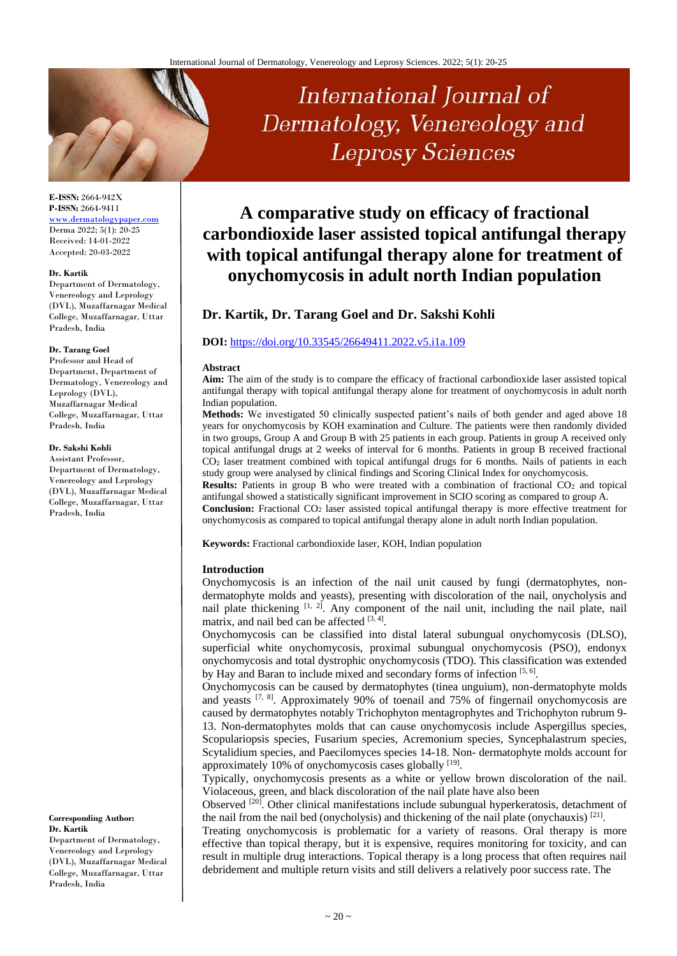# International Journal of Dermatology, Venereology and **Leprosy Sciences**

# **A comparative study on efficacy of fractional carbondioxide laser assisted topical antifungal therapy with topical antifungal therapy alone for treatment of onychomycosis in adult north Indian population**

# **Dr. Kartik, Dr. Tarang Goel and Dr. Sakshi Kohli**

### **DOI:** <https://doi.org/10.33545/26649411.2022.v5.i1a.109>

#### **Abstract**

**Aim:** The aim of the study is to compare the efficacy of fractional carbondioxide laser assisted topical antifungal therapy with topical antifungal therapy alone for treatment of onychomycosis in adult north Indian population.

**Methods:** We investigated 50 clinically suspected patient's nails of both gender and aged above 18 years for onychomycosis by KOH examination and Culture. The patients were then randomly divided in two groups, Group A and Group B with 25 patients in each group. Patients in group A received only topical antifungal drugs at 2 weeks of interval for 6 months. Patients in group B received fractional CO<sup>2</sup> laser treatment combined with topical antifungal drugs for 6 months. Nails of patients in each study group were analysed by clinical findings and Scoring Clinical Index for onychomycosis.

**Results:** Patients in group B who were treated with a combination of fractional CO<sub>2</sub> and topical antifungal showed a statistically significant improvement in SCIO scoring as compared to group A.

**Conclusion:** Fractional CO<sup>2</sup> laser assisted topical antifungal therapy is more effective treatment for onychomycosis as compared to topical antifungal therapy alone in adult north Indian population.

**Keywords:** Fractional carbondioxide laser, KOH, Indian population

#### **Introduction**

Onychomycosis is an infection of the nail unit caused by fungi (dermatophytes, nondermatophyte molds and yeasts), presenting with discoloration of the nail, onycholysis and nail plate thickening  $[1, 2]$ . Any component of the nail unit, including the nail plate, nail matrix, and nail bed can be affected [3, 4].

Onychomycosis can be classified into distal lateral subungual onychomycosis (DLSO), superficial white onychomycosis, proximal subungual onychomycosis (PSO), endonyx onychomycosis and total dystrophic onychomycosis (TDO). This classification was extended by Hay and Baran to include mixed and secondary forms of infection [5, 6].

Onychomycosis can be caused by dermatophytes (tinea unguium), non-dermatophyte molds and yeasts  $[7, 8]$ . Approximately 90% of toenail and 75% of fingernail onychomycosis are caused by dermatophytes notably Trichophyton mentagrophytes and Trichophyton rubrum 9- 13. Non-dermatophytes molds that can cause onychomycosis include Aspergillus species, Scopulariopsis species, Fusarium species, Acremonium species, Syncephalastrum species, Scytalidium species, and Paecilomyces species 14-18. Non- dermatophyte molds account for approximately 10% of onychomycosis cases globally [19].

Typically, onychomycosis presents as a white or yellow brown discoloration of the nail. Violaceous, green, and black discoloration of the nail plate have also been

Observed <sup>[20]</sup>. Other clinical manifestations include subungual hyperkeratosis, detachment of the nail from the nail bed (onycholysis) and thickening of the nail plate (onychauxis) [21].

Treating onychomycosis is problematic for a variety of reasons. Oral therapy is more effective than topical therapy, but it is expensive, requires monitoring for toxicity, and can result in multiple drug interactions. Topical therapy is a long process that often requires nail debridement and multiple return visits and still delivers a relatively poor success rate. The

**E-ISSN:** 2664-942X **P-ISSN:** 2664-9411 [www.dermatologypaper.com](http://www.dermatologypaper.com/) Derma 2022; 5(1): 20-25 Received: 14-01-2022 Accepted: 20-03-2022

#### **Dr. Kartik**

Department of Dermatology, Venereology and Leprology (DVL), Muzaffarnagar Medical College, Muzaffarnagar, Uttar Pradesh, India

#### **Dr. Tarang Goel**

Professor and Head of Department, Department of Dermatology, Venereology and Leprology (DVL), Muzaffarnagar Medical College, Muzaffarnagar, Uttar Pradesh, India

#### **Dr. Sakshi Kohli**

Assistant Professor, Department of Dermatology, Venereology and Leprology (DVL), Muzaffarnagar Medical College, Muzaffarnagar, Uttar Pradesh, India

**Corresponding Author: Dr. Kartik** Department of Dermatology, Venereology and Leprology (DVL), Muzaffarnagar Medical College, Muzaffarnagar, Uttar Pradesh, India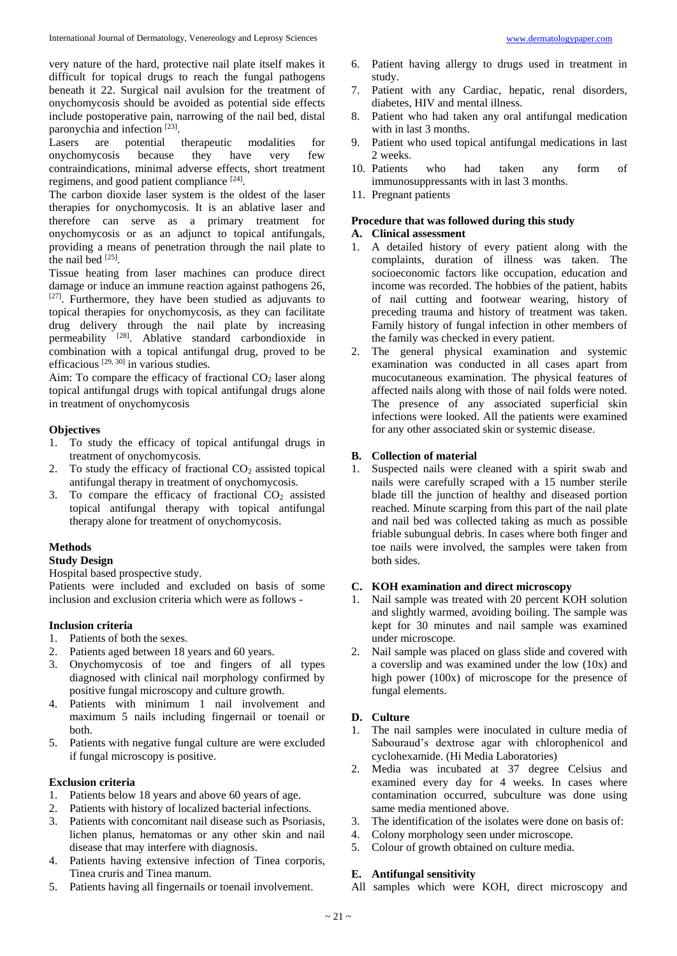very nature of the hard, protective nail plate itself makes it difficult for topical drugs to reach the fungal pathogens beneath it 22. Surgical nail avulsion for the treatment of onychomycosis should be avoided as potential side effects include postoperative pain, narrowing of the nail bed, distal paronychia and infection [23].

Lasers are potential therapeutic modalities for onychomycosis because they have very few contraindications, minimal adverse effects, short treatment regimens, and good patient compliance [24].

The carbon dioxide laser system is the oldest of the laser therapies for onychomycosis. It is an ablative laser and therefore can serve as a primary treatment for onychomycosis or as an adjunct to topical antifungals, providing a means of penetration through the nail plate to the nail bed  $^{[25]}$ .

Tissue heating from laser machines can produce direct damage or induce an immune reaction against pathogens 26,  $[27]$ . Furthermore, they have been studied as adjuvants to topical therapies for onychomycosis, as they can facilitate drug delivery through the nail plate by increasing permeability <sup>[28]</sup>. Ablative standard carbondioxide in combination with a topical antifungal drug, proved to be efficacious [29, 30] in various studies.

Aim: To compare the efficacy of fractional  $CO<sub>2</sub>$  laser along topical antifungal drugs with topical antifungal drugs alone in treatment of onychomycosis

#### **Objectives**

- 1. To study the efficacy of topical antifungal drugs in treatment of onychomycosis.
- 2. To study the efficacy of fractional  $CO<sub>2</sub>$  assisted topical antifungal therapy in treatment of onychomycosis.
- 3. To compare the efficacy of fractional  $CO<sub>2</sub>$  assisted topical antifungal therapy with topical antifungal therapy alone for treatment of onychomycosis.

#### **Methods**

#### **Study Design**

Hospital based prospective study.

Patients were included and excluded on basis of some inclusion and exclusion criteria which were as follows -

#### **Inclusion criteria**

- 1. Patients of both the sexes.
- 2. Patients aged between 18 years and 60 years.
- 3. Onychomycosis of toe and fingers of all types diagnosed with clinical nail morphology confirmed by positive fungal microscopy and culture growth.
- 4. Patients with minimum 1 nail involvement and maximum 5 nails including fingernail or toenail or both.
- 5. Patients with negative fungal culture are were excluded if fungal microscopy is positive.

#### **Exclusion criteria**

- 1. Patients below 18 years and above 60 years of age.
- 2. Patients with history of localized bacterial infections.
- 3. Patients with concomitant nail disease such as Psoriasis, lichen planus, hematomas or any other skin and nail disease that may interfere with diagnosis.
- 4. Patients having extensive infection of Tinea corporis, Tinea cruris and Tinea manum.
- 5. Patients having all fingernails or toenail involvement.
- 6. Patient having allergy to drugs used in treatment in study.
- 7. Patient with any Cardiac, hepatic, renal disorders, diabetes, HIV and mental illness.
- 8. Patient who had taken any oral antifungal medication with in last 3 months.
- 9. Patient who used topical antifungal medications in last 2 weeks.
- 10. Patients who had taken any form of immunosuppressants with in last 3 months.
- 11. Pregnant patients

# **Procedure that was followed during this study**

# **A. Clinical assessment**

- 1. A detailed history of every patient along with the complaints, duration of illness was taken. The socioeconomic factors like occupation, education and income was recorded. The hobbies of the patient, habits of nail cutting and footwear wearing, history of preceding trauma and history of treatment was taken. Family history of fungal infection in other members of the family was checked in every patient.
- 2. The general physical examination and systemic examination was conducted in all cases apart from mucocutaneous examination. The physical features of affected nails along with those of nail folds were noted. The presence of any associated superficial skin infections were looked. All the patients were examined for any other associated skin or systemic disease.

## **B. Collection of material**

1. Suspected nails were cleaned with a spirit swab and nails were carefully scraped with a 15 number sterile blade till the junction of healthy and diseased portion reached. Minute scarping from this part of the nail plate and nail bed was collected taking as much as possible friable subungual debris. In cases where both finger and toe nails were involved, the samples were taken from both sides.

#### **C. KOH examination and direct microscopy**

- 1. Nail sample was treated with 20 percent KOH solution and slightly warmed, avoiding boiling. The sample was kept for 30 minutes and nail sample was examined under microscope.
- 2. Nail sample was placed on glass slide and covered with a coverslip and was examined under the low (10x) and high power (100x) of microscope for the presence of fungal elements.

#### **D. Culture**

- 1. The nail samples were inoculated in culture media of Sabouraud's dextrose agar with chlorophenicol and cyclohexamide. (Hi Media Laboratories)
- 2. Media was incubated at 37 degree Celsius and examined every day for 4 weeks. In cases where contamination occurred, subculture was done using same media mentioned above.
- 3. The identification of the isolates were done on basis of:
- 4. Colony morphology seen under microscope.
- 5. Colour of growth obtained on culture media.

### **E. Antifungal sensitivity**

All samples which were KOH, direct microscopy and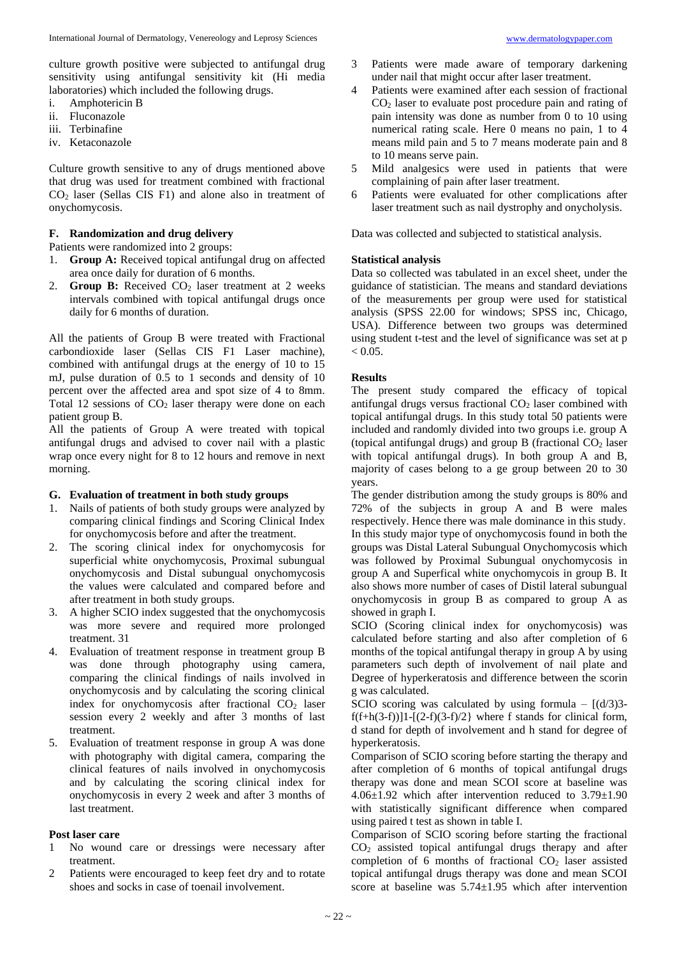culture growth positive were subjected to antifungal drug sensitivity using antifungal sensitivity kit (Hi media laboratories) which included the following drugs.

- i. Amphotericin B
- ii. Fluconazole
- iii. Terbinafine
- iv. Ketaconazole

Culture growth sensitive to any of drugs mentioned above that drug was used for treatment combined with fractional  $CO<sub>2</sub>$  laser (Sellas CIS F1) and alone also in treatment of onychomycosis.

### **F. Randomization and drug delivery**

Patients were randomized into 2 groups:

- 1. **Group A:** Received topical antifungal drug on affected area once daily for duration of 6 months.
- 2. **Group B:** Received CO<sub>2</sub> laser treatment at 2 weeks intervals combined with topical antifungal drugs once daily for 6 months of duration.

All the patients of Group B were treated with Fractional carbondioxide laser (Sellas CIS F1 Laser machine), combined with antifungal drugs at the energy of 10 to 15 mJ, pulse duration of 0.5 to 1 seconds and density of 10 percent over the affected area and spot size of 4 to 8mm. Total 12 sessions of  $CO<sub>2</sub>$  laser therapy were done on each patient group B.

All the patients of Group A were treated with topical antifungal drugs and advised to cover nail with a plastic wrap once every night for 8 to 12 hours and remove in next morning.

#### **G. Evaluation of treatment in both study groups**

- 1. Nails of patients of both study groups were analyzed by comparing clinical findings and Scoring Clinical Index for onychomycosis before and after the treatment.
- 2. The scoring clinical index for onychomycosis for superficial white onychomycosis, Proximal subungual onychomycosis and Distal subungual onychomycosis the values were calculated and compared before and after treatment in both study groups.
- 3. A higher SCIO index suggested that the onychomycosis was more severe and required more prolonged treatment. 31
- 4. Evaluation of treatment response in treatment group B was done through photography using camera, comparing the clinical findings of nails involved in onychomycosis and by calculating the scoring clinical index for onychomycosis after fractional  $CO<sub>2</sub>$  laser session every 2 weekly and after 3 months of last treatment.
- 5. Evaluation of treatment response in group A was done with photography with digital camera, comparing the clinical features of nails involved in onychomycosis and by calculating the scoring clinical index for onychomycosis in every 2 week and after 3 months of last treatment.

#### **Post laser care**

- 1 No wound care or dressings were necessary after treatment.
- 2 Patients were encouraged to keep feet dry and to rotate shoes and socks in case of toenail involvement.
- 3 Patients were made aware of temporary darkening under nail that might occur after laser treatment.
- 4 Patients were examined after each session of fractional CO<sup>2</sup> laser to evaluate post procedure pain and rating of pain intensity was done as number from 0 to 10 using numerical rating scale. Here 0 means no pain, 1 to 4 means mild pain and 5 to 7 means moderate pain and 8 to 10 means serve pain.
- 5 Mild analgesics were used in patients that were complaining of pain after laser treatment.
- 6 Patients were evaluated for other complications after laser treatment such as nail dystrophy and onycholysis.

Data was collected and subjected to statistical analysis.

#### **Statistical analysis**

Data so collected was tabulated in an excel sheet, under the guidance of statistician. The means and standard deviations of the measurements per group were used for statistical analysis (SPSS 22.00 for windows; SPSS inc, Chicago, USA). Difference between two groups was determined using student t-test and the level of significance was set at p  $< 0.05$ .

### **Results**

The present study compared the efficacy of topical antifungal drugs versus fractional  $CO<sub>2</sub>$  laser combined with topical antifungal drugs. In this study total 50 patients were included and randomly divided into two groups i.e. group A (topical antifungal drugs) and group B (fractional  $CO<sub>2</sub>$  laser with topical antifungal drugs). In both group A and B, majority of cases belong to a ge group between 20 to 30 years.

The gender distribution among the study groups is 80% and 72% of the subjects in group A and B were males respectively. Hence there was male dominance in this study. In this study major type of onychomycosis found in both the groups was Distal Lateral Subungual Onychomycosis which was followed by Proximal Subungual onychomycosis in group A and Superfical white onychomycois in group B. It also shows more number of cases of Distil lateral subungual onychomycosis in group B as compared to group A as showed in graph I.

SCIO (Scoring clinical index for onychomycosis) was calculated before starting and also after completion of 6 months of the topical antifungal therapy in group A by using parameters such depth of involvement of nail plate and Degree of hyperkeratosis and difference between the scorin g was calculated.

SCIO scoring was calculated by using formula –  $\left[\frac{d}{3}\right]$ 3 $f(f+h(3-f))$ ]1- $[(2-f)(3-f)/2]$  where f stands for clinical form, d stand for depth of involvement and h stand for degree of hyperkeratosis.

Comparison of SCIO scoring before starting the therapy and after completion of 6 months of topical antifungal drugs therapy was done and mean SCOI score at baseline was  $4.06\pm1.92$  which after intervention reduced to  $3.79\pm1.90$ with statistically significant difference when compared using paired t test as shown in table I.

Comparison of SCIO scoring before starting the fractional  $CO<sub>2</sub>$  assisted topical antifungal drugs therapy and after completion of 6 months of fractional  $CO<sub>2</sub>$  laser assisted topical antifungal drugs therapy was done and mean SCOI score at baseline was  $5.74 \pm 1.95$  which after intervention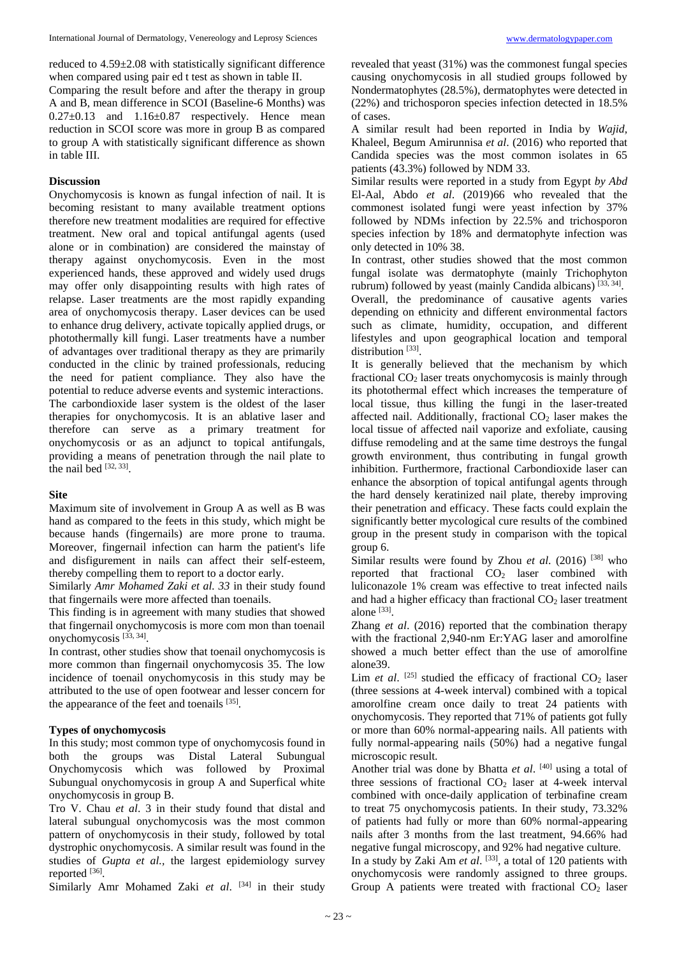reduced to 4.59±2.08 with statistically significant difference when compared using pair ed t test as shown in table II.

Comparing the result before and after the therapy in group A and B, mean difference in SCOI (Baseline-6 Months) was 0.27±0.13 and 1.16±0.87 respectively. Hence mean reduction in SCOI score was more in group B as compared to group A with statistically significant difference as shown in table III.

#### **Discussion**

Onychomycosis is known as fungal infection of nail. It is becoming resistant to many available treatment options therefore new treatment modalities are required for effective treatment. New oral and topical antifungal agents (used alone or in combination) are considered the mainstay of therapy against onychomycosis. Even in the most experienced hands, these approved and widely used drugs may offer only disappointing results with high rates of relapse. Laser treatments are the most rapidly expanding area of onychomycosis therapy. Laser devices can be used to enhance drug delivery, activate topically applied drugs, or photothermally kill fungi. Laser treatments have a number of advantages over traditional therapy as they are primarily conducted in the clinic by trained professionals, reducing the need for patient compliance. They also have the potential to reduce adverse events and systemic interactions. The carbondioxide laser system is the oldest of the laser therapies for onychomycosis. It is an ablative laser and therefore can serve as a primary treatment for onychomycosis or as an adjunct to topical antifungals, providing a means of penetration through the nail plate to the nail bed  $^{[32, 33]}$ .

#### **Site**

Maximum site of involvement in Group A as well as B was hand as compared to the feets in this study, which might be because hands (fingernails) are more prone to trauma. Moreover, fingernail infection can harm the patient's life and disfigurement in nails can affect their self-esteem, thereby compelling them to report to a doctor early.

Similarly *Amr Mohamed Zaki et al. 33* in their study found that fingernails were more affected than toenails.

This finding is in agreement with many studies that showed that fingernail onychomycosis is more com mon than toenail onychomycosis<sup>[33, 34]</sup>.

In contrast, other studies show that toenail onychomycosis is more common than fingernail onychomycosis 35. The low incidence of toenail onychomycosis in this study may be attributed to the use of open footwear and lesser concern for the appearance of the feet and toenails [35].

#### **Types of onychomycosis**

In this study; most common type of onychomycosis found in both the groups was Distal Lateral Subungual Onychomycosis which was followed by Proximal Subungual onychomycosis in group A and Superfical white onychomycosis in group B.

Tro V. Chau *et al*. 3 in their study found that distal and lateral subungual onychomycosis was the most common pattern of onychomycosis in their study, followed by total dystrophic onychomycosis. A similar result was found in the studies of *Gupta et al.,* the largest epidemiology survey reported [36].

Similarly Amr Mohamed Zaki et al. <sup>[34]</sup> in their study

revealed that yeast (31%) was the commonest fungal species causing onychomycosis in all studied groups followed by Nondermatophytes (28.5%), dermatophytes were detected in (22%) and trichosporon species infection detected in 18.5% of cases.

A similar result had been reported in India by *Wajid,*  Khaleel, Begum Amirunnisa *et al*. (2016) who reported that Candida species was the most common isolates in 65 patients (43.3%) followed by NDM 33.

Similar results were reported in a study from Egypt *by Abd*  El-Aal, Abdo *et al*. (2019)66 who revealed that the commonest isolated fungi were yeast infection by 37% followed by NDMs infection by 22.5% and trichosporon species infection by 18% and dermatophyte infection was only detected in 10% 38.

In contrast, other studies showed that the most common fungal isolate was dermatophyte (mainly Trichophyton rubrum) followed by yeast (mainly Candida albicans)<sup>[33, 34]</sup>.

Overall, the predominance of causative agents varies depending on ethnicity and different environmental factors such as climate, humidity, occupation, and different lifestyles and upon geographical location and temporal distribution<sup>[33]</sup>.

It is generally believed that the mechanism by which fractional CO<sup>2</sup> laser treats onychomycosis is mainly through its photothermal effect which increases the temperature of local tissue, thus killing the fungi in the laser-treated affected nail. Additionally, fractional  $CO<sub>2</sub>$  laser makes the local tissue of affected nail vaporize and exfoliate, causing diffuse remodeling and at the same time destroys the fungal growth environment, thus contributing in fungal growth inhibition. Furthermore, fractional Carbondioxide laser can enhance the absorption of topical antifungal agents through the hard densely keratinized nail plate, thereby improving their penetration and efficacy. These facts could explain the significantly better mycological cure results of the combined group in the present study in comparison with the topical group 6.

Similar results were found by Zhou *et al.* (2016) <sup>[38]</sup> who reported that fractional  $CO<sub>2</sub>$  laser combined with luliconazole 1% cream was effective to treat infected nails and had a higher efficacy than fractional  $CO<sub>2</sub>$  laser treatment alone [33].

Zhang *et al*. (2016) reported that the combination therapy with the fractional 2,940-nm Er:YAG laser and amorolfine showed a much better effect than the use of amorolfine alone39.

Lim *et al.*  $[25]$  studied the efficacy of fractional  $CO<sub>2</sub>$  laser (three sessions at 4-week interval) combined with a topical amorolfine cream once daily to treat 24 patients with onychomycosis. They reported that 71% of patients got fully or more than 60% normal-appearing nails. All patients with fully normal-appearing nails (50%) had a negative fungal microscopic result.

Another trial was done by Bhatta *et al*. [40] using a total of three sessions of fractional  $CO<sub>2</sub>$  laser at 4-week interval combined with once-daily application of terbinafine cream to treat 75 onychomycosis patients. In their study, 73.32% of patients had fully or more than 60% normal-appearing nails after 3 months from the last treatment, 94.66% had negative fungal microscopy, and 92% had negative culture.

In a study by Zaki Am *et al*. [33] , a total of 120 patients with onychomycosis were randomly assigned to three groups. Group A patients were treated with fractional  $CO<sub>2</sub>$  laser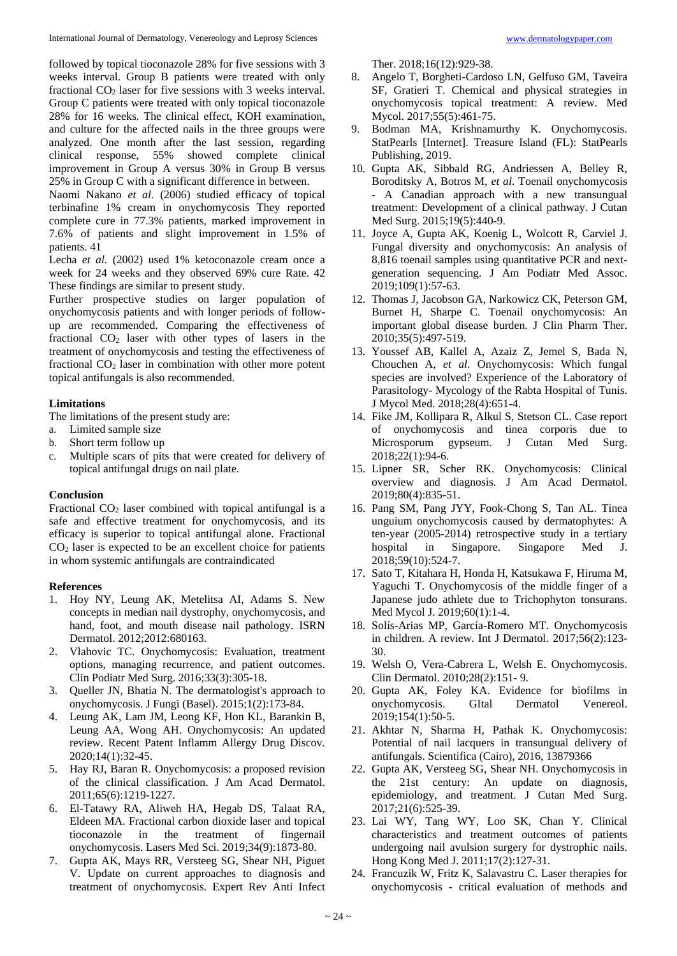followed by topical tioconazole 28% for five sessions with 3 weeks interval. Group B patients were treated with only fractional  $CO<sub>2</sub>$  laser for five sessions with 3 weeks interval. Group C patients were treated with only topical tioconazole 28% for 16 weeks. The clinical effect, KOH examination, and culture for the affected nails in the three groups were analyzed. One month after the last session, regarding clinical response, 55% showed complete clinical improvement in Group A versus 30% in Group B versus 25% in Group C with a significant difference in between.

Naomi Nakano *et al*. (2006) studied efficacy of topical terbinafine 1% cream in onychomycosis They reported complete cure in 77.3% patients, marked improvement in 7.6% of patients and slight improvement in 1.5% of patients. 41

Lecha *et al.* (2002) used 1% ketoconazole cream once a week for 24 weeks and they observed 69% cure Rate. 42 These findings are similar to present study.

Further prospective studies on larger population of onychomycosis patients and with longer periods of followup are recommended. Comparing the effectiveness of fractional  $CO<sub>2</sub>$  laser with other types of lasers in the treatment of onychomycosis and testing the effectiveness of fractional CO<sub>2</sub> laser in combination with other more potent topical antifungals is also recommended.

#### **Limitations**

The limitations of the present study are:

- a. Limited sample size
- b. Short term follow up
- c. Multiple scars of pits that were created for delivery of topical antifungal drugs on nail plate.

#### **Conclusion**

Fractional  $CO<sub>2</sub>$  laser combined with topical antifungal is a safe and effective treatment for onychomycosis, and its efficacy is superior to topical antifungal alone. Fractional  $CO<sub>2</sub>$  laser is expected to be an excellent choice for patients in whom systemic antifungals are contraindicated

#### **References**

- 1. Hoy NY, Leung AK, Metelitsa AI, Adams S. New concepts in median nail dystrophy, onychomycosis, and hand, foot, and mouth disease nail pathology. ISRN Dermatol. 2012;2012:680163.
- 2. Vlahovic TC. Onychomycosis: Evaluation, treatment options, managing recurrence, and patient outcomes. Clin Podiatr Med Surg. 2016;33(3):305-18.
- 3. Queller JN, Bhatia N. The dermatologist's approach to onychomycosis. J Fungi (Basel). 2015;1(2):173-84.
- 4. Leung AK, Lam JM, Leong KF, Hon KL, Barankin B, Leung AA, Wong AH. Onychomycosis: An updated review. Recent Patent Inflamm Allergy Drug Discov. 2020;14(1):32-45.
- 5. Hay RJ, Baran R. Onychomycosis: a proposed revision of the clinical classification. J Am Acad Dermatol. 2011;65(6):1219-1227.
- 6. El-Tatawy RA, Aliweh HA, Hegab DS, Talaat RA, Eldeen MA. Fractional carbon dioxide laser and topical tioconazole in the treatment of fingernail onychomycosis. Lasers Med Sci. 2019;34(9):1873-80.
- 7. Gupta AK, Mays RR, Versteeg SG, Shear NH, Piguet V. Update on current approaches to diagnosis and treatment of onychomycosis. Expert Rev Anti Infect

Ther. 2018;16(12):929-38.

- 8. Angelo T, Borgheti-Cardoso LN, Gelfuso GM, Taveira SF, Gratieri T. Chemical and physical strategies in onychomycosis topical treatment: A review. Med Mycol. 2017;55(5):461-75.
- 9. Bodman MA, Krishnamurthy K. Onychomycosis. StatPearls [Internet]. Treasure Island (FL): StatPearls Publishing, 2019.
- 10. Gupta AK, Sibbald RG, Andriessen A, Belley R, Boroditsky A, Botros M, *et al*. Toenail onychomycosis - A Canadian approach with a new transungual treatment: Development of a clinical pathway. J Cutan Med Surg. 2015;19(5):440-9.
- 11. Joyce A, Gupta AK, Koenig L, Wolcott R, Carviel J. Fungal diversity and onychomycosis: An analysis of 8,816 toenail samples using quantitative PCR and nextgeneration sequencing. J Am Podiatr Med Assoc. 2019;109(1):57-63.
- 12. Thomas J, Jacobson GA, Narkowicz CK, Peterson GM, Burnet H, Sharpe C. Toenail onychomycosis: An important global disease burden. J Clin Pharm Ther. 2010;35(5):497-519.
- 13. Youssef AB, Kallel A, Azaiz Z, Jemel S, Bada N, Chouchen A, *et al*. Onychomycosis: Which fungal species are involved? Experience of the Laboratory of Parasitology- Mycology of the Rabta Hospital of Tunis. J Mycol Med. 2018;28(4):651-4.
- 14. Fike JM, Kollipara R, Alkul S, Stetson CL. Case report of onychomycosis and tinea corporis due to Microsporum gypseum. J Cutan Med Surg. 2018;22(1):94-6.
- 15. Lipner SR, Scher RK. Onychomycosis: Clinical overview and diagnosis. J Am Acad Dermatol. 2019;80(4):835-51.
- 16. Pang SM, Pang JYY, Fook-Chong S, Tan AL. Tinea unguium onychomycosis caused by dermatophytes: A ten-year (2005-2014) retrospective study in a tertiary hospital in Singapore. Singapore Med J. 2018;59(10):524-7.
- 17. Sato T, Kitahara H, Honda H, Katsukawa F, Hiruma M, Yaguchi T. Onychomycosis of the middle finger of a Japanese judo athlete due to Trichophyton tonsurans. Med Mycol J. 2019;60(1):1-4.
- 18. Solís-Arias MP, García-Romero MT. Onychomycosis in children. A review. Int J Dermatol. 2017;56(2):123- 30.
- 19. Welsh O, Vera-Cabrera L, Welsh E. Onychomycosis. Clin Dermatol. 2010;28(2):151- 9.
- 20. Gupta AK, Foley KA. Evidence for biofilms in onychomycosis. GItal Dermatol Venereol. 2019;154(1):50-5.
- 21. Akhtar N, Sharma H, Pathak K. Onychomycosis: Potential of nail lacquers in transungual delivery of antifungals. Scientifica (Cairo), 2016, 13879366
- 22. Gupta AK, Versteeg SG, Shear NH. Onychomycosis in the 21st century: An update on diagnosis, epidemiology, and treatment. J Cutan Med Surg. 2017;21(6):525-39.
- 23. Lai WY, Tang WY, Loo SK, Chan Y. Clinical characteristics and treatment outcomes of patients undergoing nail avulsion surgery for dystrophic nails. Hong Kong Med J. 2011;17(2):127-31.
- 24. Francuzik W, Fritz K, Salavastru C. Laser therapies for onychomycosis - critical evaluation of methods and